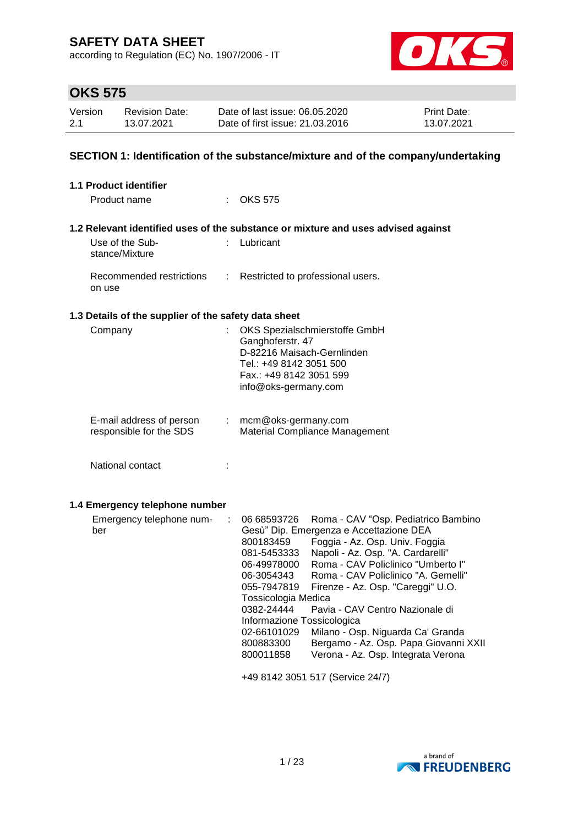according to Regulation (EC) No. 1907/2006 - IT



# **OKS 575**

| Version | <b>Revision Date:</b> | Date of last issue: 06.05.2020  | <b>Print Date:</b> |
|---------|-----------------------|---------------------------------|--------------------|
| 2.1     | 13.07.2021            | Date of first issue: 21.03.2016 | 13.07.2021         |

### **SECTION 1: Identification of the substance/mixture and of the company/undertaking**

| <b>1.1 Product identifier</b>                        |    |                                                                                                                                                                                                                                                                                                                                                                                                                                                                                                                                                                                                                                                                       |
|------------------------------------------------------|----|-----------------------------------------------------------------------------------------------------------------------------------------------------------------------------------------------------------------------------------------------------------------------------------------------------------------------------------------------------------------------------------------------------------------------------------------------------------------------------------------------------------------------------------------------------------------------------------------------------------------------------------------------------------------------|
| Product name                                         |    | $:$ OKS 575                                                                                                                                                                                                                                                                                                                                                                                                                                                                                                                                                                                                                                                           |
|                                                      |    | 1.2 Relevant identified uses of the substance or mixture and uses advised against                                                                                                                                                                                                                                                                                                                                                                                                                                                                                                                                                                                     |
| Use of the Sub-<br>stance/Mixture                    |    | : Lubricant                                                                                                                                                                                                                                                                                                                                                                                                                                                                                                                                                                                                                                                           |
| Recommended restrictions<br>on use                   | ÷  | Restricted to professional users.                                                                                                                                                                                                                                                                                                                                                                                                                                                                                                                                                                                                                                     |
| 1.3 Details of the supplier of the safety data sheet |    |                                                                                                                                                                                                                                                                                                                                                                                                                                                                                                                                                                                                                                                                       |
| Company                                              |    | OKS Spezialschmierstoffe GmbH<br>Ganghoferstr. 47<br>D-82216 Maisach-Gernlinden<br>Tel.: +49 8142 3051 500<br>Fax.: +49 8142 3051 599<br>info@oks-germany.com                                                                                                                                                                                                                                                                                                                                                                                                                                                                                                         |
| E-mail address of person<br>responsible for the SDS  | t. | mcm@oks-germany.com<br>Material Compliance Management                                                                                                                                                                                                                                                                                                                                                                                                                                                                                                                                                                                                                 |
| National contact                                     |    |                                                                                                                                                                                                                                                                                                                                                                                                                                                                                                                                                                                                                                                                       |
| 1.4 Emergency telephone number                       |    |                                                                                                                                                                                                                                                                                                                                                                                                                                                                                                                                                                                                                                                                       |
| Emergency telephone num-<br>ber                      | ÷  | 06 68593726<br>Roma - CAV "Osp. Pediatrico Bambino<br>Gesù" Dip. Emergenza e Accettazione DEA<br>Foggia - Az. Osp. Univ. Foggia<br>800183459<br>Napoli - Az. Osp. "A. Cardarelli"<br>081-5453333<br>Roma - CAV Policlinico "Umberto I"<br>06-49978000<br>Roma - CAV Policlinico "A. Gemelli"<br>06-3054343<br>055-7947819<br>Firenze - Az. Osp. "Careggi" U.O.<br>Tossicologia Medica<br>0382-24444<br>Pavia - CAV Centro Nazionale di<br>Informazione Tossicologica<br>02-66101029<br>Milano - Osp. Niguarda Ca' Granda<br>Bergamo - Az. Osp. Papa Giovanni XXII<br>800883300<br>Verona - Az. Osp. Integrata Verona<br>800011858<br>+49 8142 3051 517 (Service 24/7) |

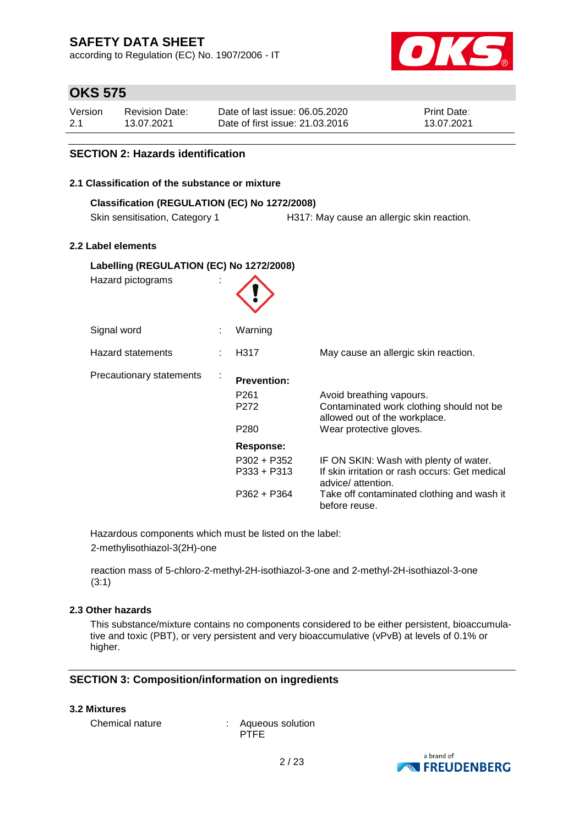according to Regulation (EC) No. 1907/2006 - IT



# **OKS 575**

| Version | <b>Revision Date:</b> | Date of last issue: 06.05.2020  | <b>Print Date:</b> |
|---------|-----------------------|---------------------------------|--------------------|
| -2.1    | 13.07.2021            | Date of first issue: 21.03.2016 | 13.07.2021         |

### **SECTION 2: Hazards identification**

#### **2.1 Classification of the substance or mixture**

### **Classification (REGULATION (EC) No 1272/2008)**

Skin sensitisation, Category 1 H317: May cause an allergic skin reaction.

### **2.2 Label elements**

| Labelling (REGULATION (EC) No 1272/2008)<br>Hazard pictograms |  |                                      |                                                                                                       |
|---------------------------------------------------------------|--|--------------------------------------|-------------------------------------------------------------------------------------------------------|
|                                                               |  |                                      |                                                                                                       |
| Signal word                                                   |  | Warning                              |                                                                                                       |
| Hazard statements                                             |  | H317                                 | May cause an allergic skin reaction.                                                                  |
| Precautionary statements<br>$\blacksquare$                    |  | <b>Prevention:</b>                   |                                                                                                       |
|                                                               |  | P <sub>261</sub><br>P <sub>272</sub> | Avoid breathing vapours.<br>Contaminated work clothing should not be<br>allowed out of the workplace. |
|                                                               |  | P <sub>280</sub>                     | Wear protective gloves.                                                                               |
|                                                               |  | Response:                            |                                                                                                       |
|                                                               |  | $P302 + P352$                        | IF ON SKIN: Wash with plenty of water.                                                                |
|                                                               |  | $P333 + P313$                        | If skin irritation or rash occurs: Get medical<br>advice/ attention.                                  |
|                                                               |  | $P362 + P364$                        | Take off contaminated clothing and wash it<br>before reuse.                                           |

Hazardous components which must be listed on the label: 2-methylisothiazol-3(2H)-one

reaction mass of 5-chloro-2-methyl-2H-isothiazol-3-one and 2-methyl-2H-isothiazol-3-one (3:1)

### **2.3 Other hazards**

This substance/mixture contains no components considered to be either persistent, bioaccumulative and toxic (PBT), or very persistent and very bioaccumulative (vPvB) at levels of 0.1% or higher.

### **SECTION 3: Composition/information on ingredients**

#### **3.2 Mixtures**

Chemical nature : Aqueous solution **PTFE** 

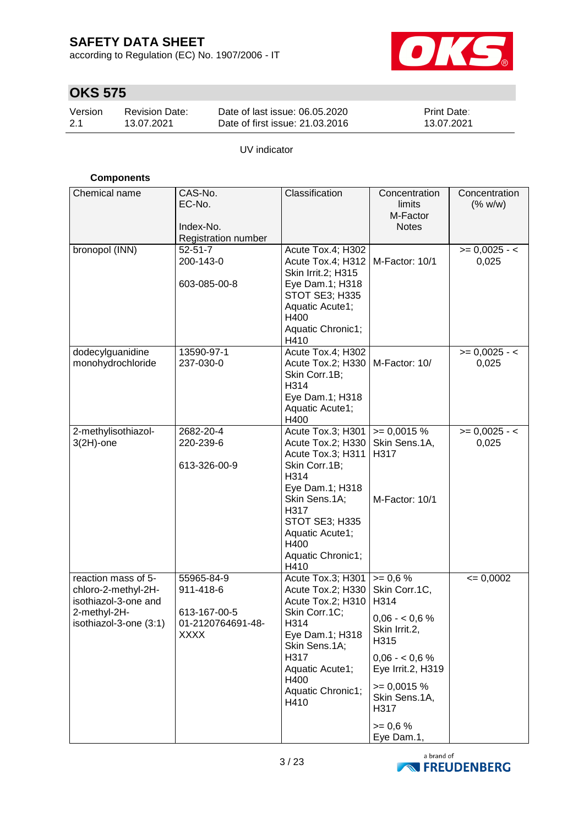according to Regulation (EC) No. 1907/2006 - IT



# **OKS 575**

| Version | <b>Revision Date:</b> | Date of last issue: 06.05.2020  | <b>Print Date:</b> |
|---------|-----------------------|---------------------------------|--------------------|
| 2.1     | 13.07.2021            | Date of first issue: 21,03,2016 | 13.07.2021         |

UV indicator

### **Components**

| Chemical name          | CAS-No.                                 | Classification                         | Concentration                 | Concentration   |
|------------------------|-----------------------------------------|----------------------------------------|-------------------------------|-----------------|
|                        | EC-No.                                  |                                        | limits                        | (% w/w)         |
|                        |                                         |                                        | M-Factor                      |                 |
|                        | Index-No.<br><b>Registration number</b> |                                        | <b>Notes</b>                  |                 |
| bronopol (INN)         | $52 - 51 - 7$                           | Acute Tox.4; H302                      |                               | $>= 0,0025 - 1$ |
|                        | 200-143-0                               | Acute Tox.4; H312                      | M-Factor: 10/1                | 0,025           |
|                        |                                         | Skin Irrit.2; H315                     |                               |                 |
|                        | 603-085-00-8                            | Eye Dam.1; H318                        |                               |                 |
|                        |                                         | <b>STOT SE3; H335</b>                  |                               |                 |
|                        |                                         | Aquatic Acute1;                        |                               |                 |
|                        |                                         | H400                                   |                               |                 |
|                        |                                         | Aquatic Chronic1;                      |                               |                 |
| dodecylguanidine       | 13590-97-1                              | H410<br>Acute Tox.4; H302              |                               | $>= 0,0025 - 1$ |
| monohydrochloride      | 237-030-0                               | Acute Tox.2; H330                      | M-Factor: 10/                 | 0,025           |
|                        |                                         | Skin Corr.1B;                          |                               |                 |
|                        |                                         | H314                                   |                               |                 |
|                        |                                         | Eye Dam.1; H318                        |                               |                 |
|                        |                                         | Aquatic Acute1;                        |                               |                 |
|                        |                                         | H400                                   |                               |                 |
| 2-methylisothiazol-    | 2682-20-4<br>220-239-6                  | Acute Tox.3; H301<br>Acute Tox.2; H330 | $= 0,0015 %$<br>Skin Sens.1A, | $>= 0,0025 - 1$ |
| $3(2H)$ -one           |                                         | Acute Tox.3; H311                      | H317                          | 0,025           |
|                        | 613-326-00-9                            | Skin Corr.1B;                          |                               |                 |
|                        |                                         | H314                                   |                               |                 |
|                        |                                         | Eye Dam.1; H318                        |                               |                 |
|                        |                                         | Skin Sens.1A;                          | M-Factor: 10/1                |                 |
|                        |                                         | H317                                   |                               |                 |
|                        |                                         | STOT SE3; H335                         |                               |                 |
|                        |                                         | Aquatic Acute1;<br>H400                |                               |                 |
|                        |                                         | Aquatic Chronic1;                      |                               |                 |
|                        |                                         | H410                                   |                               |                 |
| reaction mass of 5-    | 55965-84-9                              | Acute Tox.3; H301                      | $>= 0.6 %$                    | $= 0,0002$      |
| chloro-2-methyl-2H-    | 911-418-6                               | Acute Tox.2; H330                      | Skin Corr.1C,                 |                 |
| isothiazol-3-one and   |                                         | Acute Tox.2; H310                      | H314                          |                 |
| 2-methyl-2H-           | 613-167-00-5<br>01-2120764691-48-       | Skin Corr.1C;<br>H314                  | $0,06 - 0,6%$                 |                 |
| isothiazol-3-one (3:1) | <b>XXXX</b>                             | Eye Dam.1; H318                        | Skin Irrit.2,                 |                 |
|                        |                                         | Skin Sens.1A;                          | H315                          |                 |
|                        |                                         | H317                                   | $0,06 - 0,6%$                 |                 |
|                        |                                         | Aquatic Acute1;                        | Eye Irrit.2, H319             |                 |
|                        |                                         | H400<br>Aquatic Chronic1;              | $= 0,0015 %$                  |                 |
|                        |                                         | H410                                   | Skin Sens.1A,                 |                 |
|                        |                                         |                                        | H317                          |                 |
|                        |                                         |                                        | $>= 0.6 %$                    |                 |
|                        |                                         |                                        | Eye Dam.1,                    |                 |

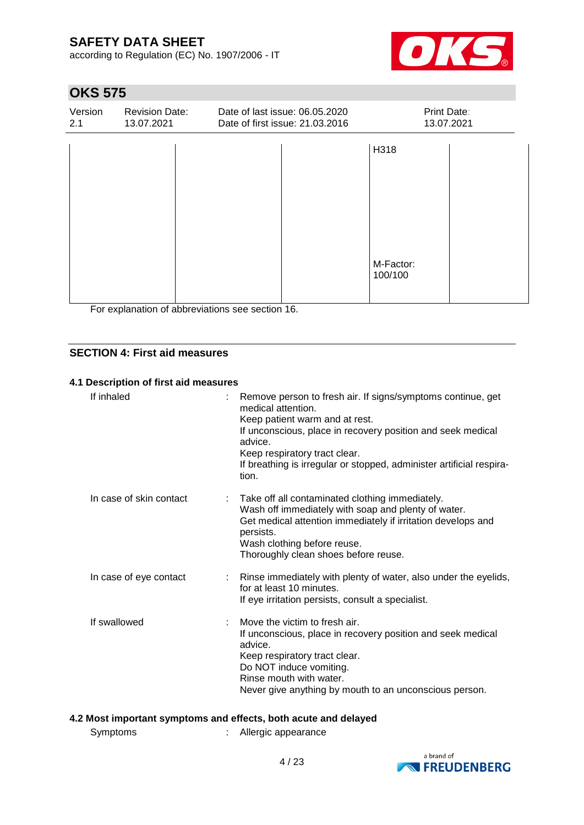according to Regulation (EC) No. 1907/2006 - IT



# **OKS 575**

| Version<br>2.1 | <b>Revision Date:</b><br>13.07.2021 | Date of last issue: 06.05.2020<br>Date of first issue: 21.03.2016 | Print Date:<br>13.07.2021 |  |
|----------------|-------------------------------------|-------------------------------------------------------------------|---------------------------|--|
|                |                                     |                                                                   | H318                      |  |
|                |                                     |                                                                   |                           |  |
|                |                                     |                                                                   |                           |  |
|                |                                     |                                                                   |                           |  |
|                |                                     |                                                                   | M-Factor:<br>100/100      |  |
|                |                                     |                                                                   |                           |  |

For explanation of abbreviations see section 16.

### **SECTION 4: First aid measures**

### **4.1 Description of first aid measures**

| If inhaled              | : Remove person to fresh air. If signs/symptoms continue, get<br>medical attention<br>Keep patient warm and at rest.<br>If unconscious, place in recovery position and seek medical<br>advice.<br>Keep respiratory tract clear.<br>If breathing is irregular or stopped, administer artificial respira-<br>tion. |
|-------------------------|------------------------------------------------------------------------------------------------------------------------------------------------------------------------------------------------------------------------------------------------------------------------------------------------------------------|
| In case of skin contact | : Take off all contaminated clothing immediately.<br>Wash off immediately with soap and plenty of water.<br>Get medical attention immediately if irritation develops and<br>persists.<br>Wash clothing before reuse.<br>Thoroughly clean shoes before reuse.                                                     |
| In case of eye contact  | : Rinse immediately with plenty of water, also under the eyelids,<br>for at least 10 minutes.<br>If eye irritation persists, consult a specialist.                                                                                                                                                               |
| If swallowed            | Move the victim to fresh air.<br>If unconscious, place in recovery position and seek medical<br>advice.<br>Keep respiratory tract clear.<br>Do NOT induce vomiting.<br>Rinse mouth with water.<br>Never give anything by mouth to an unconscious person.                                                         |

### **4.2 Most important symptoms and effects, both acute and delayed**

| Symptoms |  | Allergic appearance |
|----------|--|---------------------|
|----------|--|---------------------|

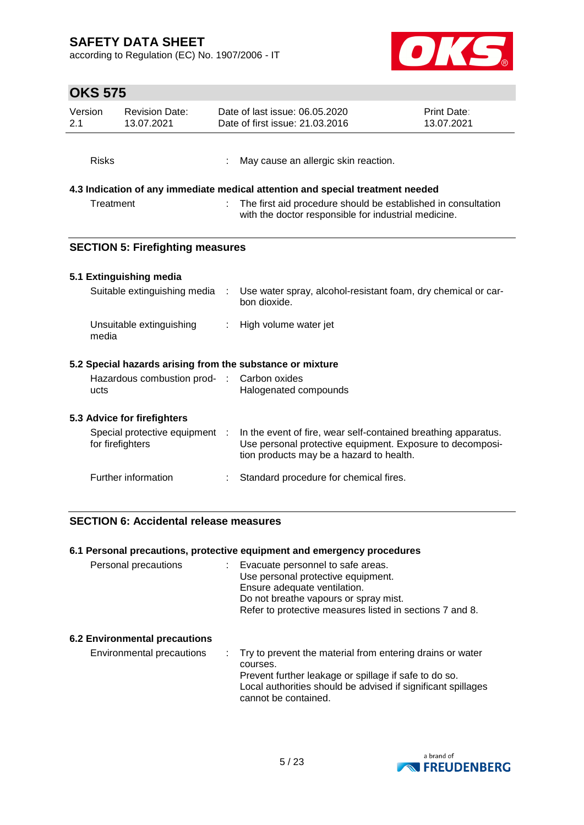according to Regulation (EC) No. 1907/2006 - IT



|                                    | ט וט טוו     |                                                    |                                                                                                                       |                                                                                                                                                                         |                           |
|------------------------------------|--------------|----------------------------------------------------|-----------------------------------------------------------------------------------------------------------------------|-------------------------------------------------------------------------------------------------------------------------------------------------------------------------|---------------------------|
| Version<br>2.1                     |              | <b>Revision Date:</b><br>13.07.2021                |                                                                                                                       | Date of last issue: 06.05.2020<br>Date of first issue: 21.03.2016                                                                                                       | Print Date:<br>13.07.2021 |
|                                    | <b>Risks</b> |                                                    |                                                                                                                       | May cause an allergic skin reaction.                                                                                                                                    |                           |
|                                    |              |                                                    |                                                                                                                       | 4.3 Indication of any immediate medical attention and special treatment needed                                                                                          |                           |
| Treatment                          |              |                                                    | The first aid procedure should be established in consultation<br>with the doctor responsible for industrial medicine. |                                                                                                                                                                         |                           |
|                                    |              | <b>SECTION 5: Firefighting measures</b>            |                                                                                                                       |                                                                                                                                                                         |                           |
|                                    |              | 5.1 Extinguishing media                            |                                                                                                                       |                                                                                                                                                                         |                           |
|                                    |              | Suitable extinguishing media                       |                                                                                                                       | Use water spray, alcohol-resistant foam, dry chemical or car-<br>bon dioxide.                                                                                           |                           |
|                                    | media        | Unsuitable extinguishing                           |                                                                                                                       | High volume water jet                                                                                                                                                   |                           |
|                                    |              |                                                    |                                                                                                                       | 5.2 Special hazards arising from the substance or mixture                                                                                                               |                           |
| Hazardous combustion prod-<br>ucts |              | $\sim 20$                                          | Carbon oxides<br>Halogenated compounds                                                                                |                                                                                                                                                                         |                           |
|                                    |              | 5.3 Advice for firefighters                        |                                                                                                                       |                                                                                                                                                                         |                           |
|                                    |              | Special protective equipment :<br>for firefighters |                                                                                                                       | In the event of fire, wear self-contained breathing apparatus.<br>Use personal protective equipment. Exposure to decomposi-<br>tion products may be a hazard to health. |                           |
|                                    |              | Further information                                |                                                                                                                       | Standard procedure for chemical fires.                                                                                                                                  |                           |
|                                    |              |                                                    |                                                                                                                       |                                                                                                                                                                         |                           |

### **SECTION 6: Accidental release measures**

|                               | 6.1 Personal precautions, protective equipment and emergency procedures                                                                                                                                      |
|-------------------------------|--------------------------------------------------------------------------------------------------------------------------------------------------------------------------------------------------------------|
| Personal precautions          | Evacuate personnel to safe areas.<br>Use personal protective equipment.<br>Ensure adequate ventilation.<br>Do not breathe vapours or spray mist.<br>Refer to protective measures listed in sections 7 and 8. |
| 6.2 Environmental precautions |                                                                                                                                                                                                              |
| Environmental precautions     | : Try to prevent the material from entering drains or water<br>courses.<br>Prevent further leakage or spillage if safe to do so.                                                                             |



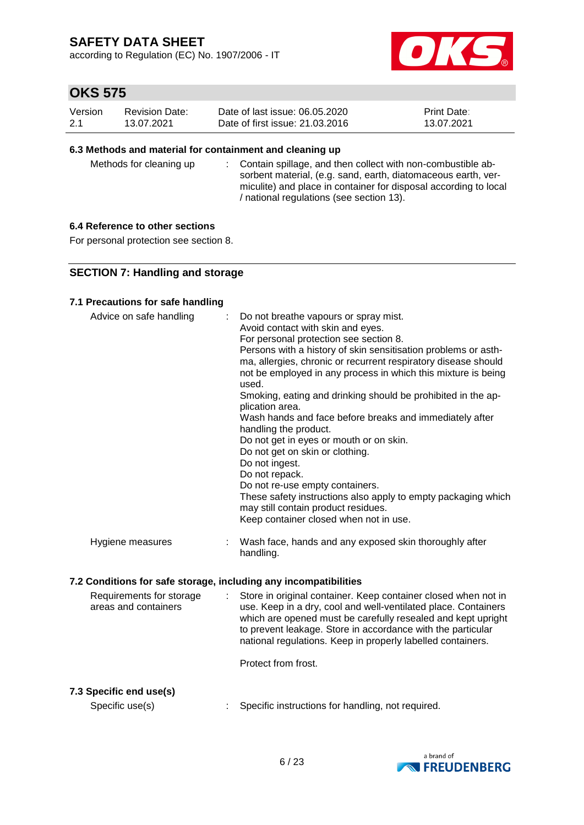according to Regulation (EC) No. 1907/2006 - IT



# **OKS 575**

| Version | Revision Date: | Date of last issue: 06.05.2020  | <b>Print Date:</b> |
|---------|----------------|---------------------------------|--------------------|
| 2.1     | 13.07.2021     | Date of first issue: 21,03,2016 | 13.07.2021         |

#### **6.3 Methods and material for containment and cleaning up**

Methods for cleaning up : Contain spillage, and then collect with non-combustible absorbent material, (e.g. sand, earth, diatomaceous earth, vermiculite) and place in container for disposal according to local / national regulations (see section 13).

### **6.4 Reference to other sections**

For personal protection see section 8.

### **SECTION 7: Handling and storage**

#### **7.1 Precautions for safe handling**

| Advice on safe handling | : Do not breathe vapours or spray mist.<br>Avoid contact with skin and eyes.<br>For personal protection see section 8.<br>Persons with a history of skin sensitisation problems or asth-<br>ma, allergies, chronic or recurrent respiratory disease should<br>not be employed in any process in which this mixture is being<br>used.<br>Smoking, eating and drinking should be prohibited in the ap-<br>plication area.<br>Wash hands and face before breaks and immediately after<br>handling the product.<br>Do not get in eyes or mouth or on skin.<br>Do not get on skin or clothing.<br>Do not ingest.<br>Do not repack.<br>Do not re-use empty containers.<br>These safety instructions also apply to empty packaging which<br>may still contain product residues.<br>Keep container closed when not in use. |
|-------------------------|--------------------------------------------------------------------------------------------------------------------------------------------------------------------------------------------------------------------------------------------------------------------------------------------------------------------------------------------------------------------------------------------------------------------------------------------------------------------------------------------------------------------------------------------------------------------------------------------------------------------------------------------------------------------------------------------------------------------------------------------------------------------------------------------------------------------|
| Hygiene measures        | Wash face, hands and any exposed skin thoroughly after<br>handling.                                                                                                                                                                                                                                                                                                                                                                                                                                                                                                                                                                                                                                                                                                                                                |

### **7.2 Conditions for safe storage, including any incompatibilities**

| Requirements for storage<br>areas and containers |  | : Store in original container. Keep container closed when not in<br>use. Keep in a dry, cool and well-ventilated place. Containers<br>which are opened must be carefully resealed and kept upright<br>to prevent leakage. Store in accordance with the particular<br>national regulations. Keep in properly labelled containers. |
|--------------------------------------------------|--|----------------------------------------------------------------------------------------------------------------------------------------------------------------------------------------------------------------------------------------------------------------------------------------------------------------------------------|
|--------------------------------------------------|--|----------------------------------------------------------------------------------------------------------------------------------------------------------------------------------------------------------------------------------------------------------------------------------------------------------------------------------|

Protect from frost.

### **7.3 Specific end use(s)**

```
Specific use(s) : Specific instructions for handling, not required.
```
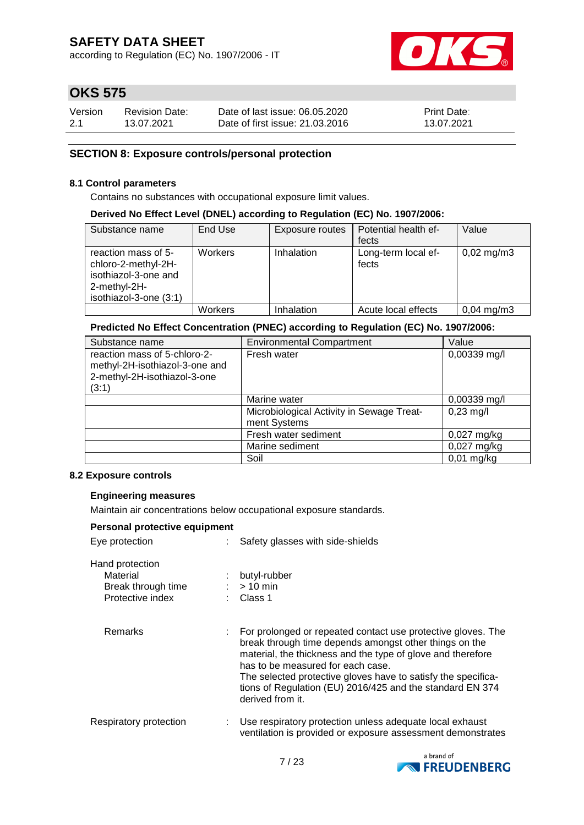according to Regulation (EC) No. 1907/2006 - IT



# **OKS 575**

| Version | <b>Revision Date:</b> | Date of last issue: 06.05.2020  | <b>Print Date:</b> |
|---------|-----------------------|---------------------------------|--------------------|
| 2.1     | 13.07.2021            | Date of first issue: 21,03,2016 | 13.07.2021         |

### **SECTION 8: Exposure controls/personal protection**

#### **8.1 Control parameters**

Contains no substances with occupational exposure limit values.

#### **Derived No Effect Level (DNEL) according to Regulation (EC) No. 1907/2006:**

| Substance name         | End Use | Exposure routes | Potential health ef- | Value                |
|------------------------|---------|-----------------|----------------------|----------------------|
|                        |         |                 | fects                |                      |
| reaction mass of 5-    | Workers | Inhalation      | Long-term local ef-  | $0,02 \text{ mg/m}3$ |
| chloro-2-methyl-2H-    |         |                 | fects                |                      |
| isothiazol-3-one and   |         |                 |                      |                      |
| 2-methyl-2H-           |         |                 |                      |                      |
| isothiazol-3-one (3:1) |         |                 |                      |                      |
|                        | Workers | Inhalation      | Acute local effects  | $0,04 \text{ mg/m}3$ |

#### **Predicted No Effect Concentration (PNEC) according to Regulation (EC) No. 1907/2006:**

| Substance name                                                                                          | <b>Environmental Compartment</b>                          | Value          |
|---------------------------------------------------------------------------------------------------------|-----------------------------------------------------------|----------------|
| reaction mass of 5-chloro-2-<br>methyl-2H-isothiazol-3-one and<br>2-methyl-2H-isothiazol-3-one<br>(3:1) | Fresh water                                               | 0,00339 mg/l   |
|                                                                                                         | Marine water                                              | $0,00339$ mg/l |
|                                                                                                         | Microbiological Activity in Sewage Treat-<br>ment Systems | $0,23$ mg/l    |
|                                                                                                         | Fresh water sediment                                      | 0,027 mg/kg    |
|                                                                                                         | Marine sediment                                           | $0,027$ mg/kg  |
|                                                                                                         | Soil                                                      | $0,01$ mg/kg   |

#### **8.2 Exposure controls**

### **Engineering measures**

Maintain air concentrations below occupational exposure standards.

| Personal protective equipment                                         |  |                                                                                                                                                                                                                                                                                                                                                                              |  |  |  |  |
|-----------------------------------------------------------------------|--|------------------------------------------------------------------------------------------------------------------------------------------------------------------------------------------------------------------------------------------------------------------------------------------------------------------------------------------------------------------------------|--|--|--|--|
| Eye protection                                                        |  | Safety glasses with side-shields                                                                                                                                                                                                                                                                                                                                             |  |  |  |  |
| Hand protection<br>Material<br>Break through time<br>Protective index |  | butyl-rubber<br>$>10$ min<br>Class 1                                                                                                                                                                                                                                                                                                                                         |  |  |  |  |
| Remarks                                                               |  | For prolonged or repeated contact use protective gloves. The<br>break through time depends amongst other things on the<br>material, the thickness and the type of glove and therefore<br>has to be measured for each case.<br>The selected protective gloves have to satisfy the specifica-<br>tions of Regulation (EU) 2016/425 and the standard EN 374<br>derived from it. |  |  |  |  |
| Respiratory protection                                                |  | Use respiratory protection unless adequate local exhaust<br>ventilation is provided or exposure assessment demonstrates                                                                                                                                                                                                                                                      |  |  |  |  |

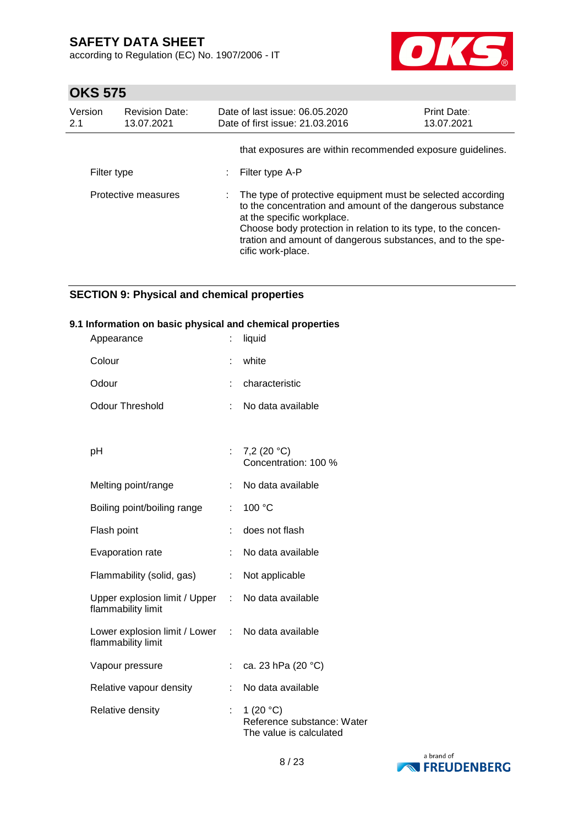according to Regulation (EC) No. 1907/2006 - IT



# **OKS 575**

| Version<br>2.1 | <b>Revision Date:</b><br>13.07.2021 | Date of last issue: 06.05.2020<br>Date of first issue: 21.03.2016 | <b>Print Date:</b><br>13.07.2021                                                                                                                                                                                                                           |  |
|----------------|-------------------------------------|-------------------------------------------------------------------|------------------------------------------------------------------------------------------------------------------------------------------------------------------------------------------------------------------------------------------------------------|--|
| Filter type    |                                     | Filter type A-P                                                   | that exposures are within recommended exposure guidelines.                                                                                                                                                                                                 |  |
|                | Protective measures                 | at the specific workplace.<br>cific work-place.                   | The type of protective equipment must be selected according<br>to the concentration and amount of the dangerous substance<br>Choose body protection in relation to its type, to the concen-<br>tration and amount of dangerous substances, and to the spe- |  |

### **SECTION 9: Physical and chemical properties**

### **9.1 Information on basic physical and chemical properties**

| Appearance                                                              | t  | liquid                                                               |
|-------------------------------------------------------------------------|----|----------------------------------------------------------------------|
| Colour                                                                  |    | white                                                                |
| Odour                                                                   |    | characteristic                                                       |
| <b>Odour Threshold</b>                                                  | t  | No data available                                                    |
|                                                                         |    |                                                                      |
| pH                                                                      |    | 7,2 $(20 °C)$<br>Concentration: 100 %                                |
| Melting point/range                                                     | t. | No data available                                                    |
| Boiling point/boiling range                                             | t. | 100 °C                                                               |
| Flash point                                                             |    | does not flash                                                       |
| Evaporation rate                                                        | t  | No data available                                                    |
| Flammability (solid, gas)                                               | t. | Not applicable                                                       |
| Upper explosion limit / Upper :<br>flammability limit                   |    | No data available                                                    |
| Lower explosion limit / Lower : No data available<br>flammability limit |    |                                                                      |
| Vapour pressure                                                         | ÷. | ca. 23 hPa (20 °C)                                                   |
| Relative vapour density                                                 | ÷. | No data available                                                    |
| Relative density                                                        | t  | 1 $(20 °C)$<br>Reference substance: Water<br>The value is calculated |

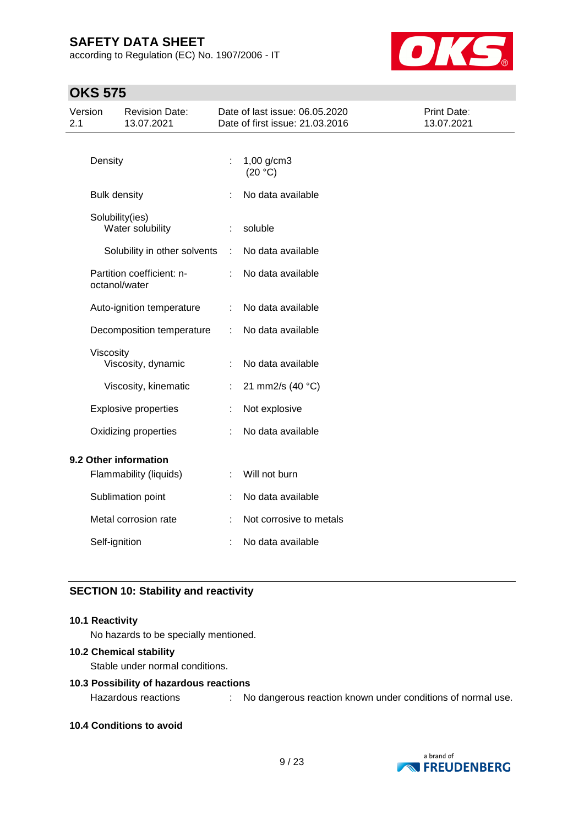according to Regulation (EC) No. 1907/2006 - IT



## **OKS 575**

| Version<br>2.1        |                     | <b>Revision Date:</b><br>13.07.2021 |    | Date of last issue: 06.05.2020<br>Date of first issue: 21.03.2016 | Print Date:<br>13.07.2021 |
|-----------------------|---------------------|-------------------------------------|----|-------------------------------------------------------------------|---------------------------|
|                       | Density             |                                     | t  | 1,00 g/cm3<br>(20 °C)                                             |                           |
|                       | <b>Bulk density</b> |                                     |    | No data available                                                 |                           |
|                       | Solubility(ies)     | Water solubility                    |    | soluble                                                           |                           |
|                       |                     | Solubility in other solvents        | ÷  | No data available                                                 |                           |
|                       | octanol/water       | Partition coefficient: n-           |    | No data available                                                 |                           |
|                       |                     | Auto-ignition temperature           | ÷  | No data available                                                 |                           |
|                       |                     | Decomposition temperature           |    | No data available                                                 |                           |
|                       | Viscosity           | Viscosity, dynamic                  |    | No data available                                                 |                           |
|                       |                     | Viscosity, kinematic                | ÷. | 21 mm2/s (40 °C)                                                  |                           |
|                       |                     | <b>Explosive properties</b>         |    | Not explosive                                                     |                           |
|                       |                     | Oxidizing properties                |    | No data available                                                 |                           |
| 9.2 Other information |                     |                                     |    |                                                                   |                           |
|                       |                     | Flammability (liquids)              |    | Will not burn                                                     |                           |
|                       |                     | Sublimation point                   |    | No data available                                                 |                           |
|                       |                     | Metal corrosion rate                |    | Not corrosive to metals                                           |                           |
|                       | Self-ignition       |                                     |    | No data available                                                 |                           |
|                       |                     |                                     |    |                                                                   |                           |

### **SECTION 10: Stability and reactivity**

### **10.1 Reactivity**

No hazards to be specially mentioned.

### **10.2 Chemical stability**

Stable under normal conditions.

#### **10.3 Possibility of hazardous reactions**

Hazardous reactions : No dangerous reaction known under conditions of normal use.

**10.4 Conditions to avoid**

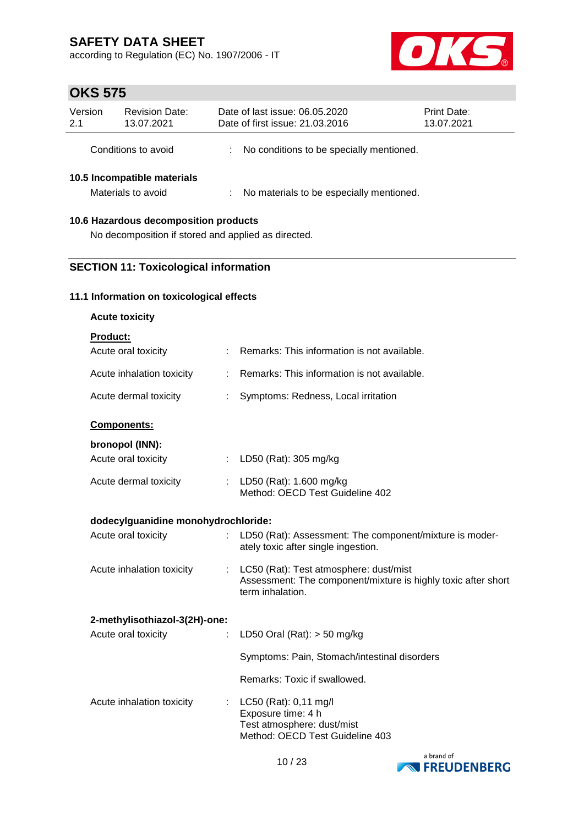according to Regulation (EC) No. 1907/2006 - IT



# **OKS 575**

| Version<br>2.1                                    | <b>Revision Date:</b><br>13.07.2021 |  | Date of last issue: 06.05.2020<br>Date of first issue: 21.03.2016 | <b>Print Date:</b><br>13.07.2021 |  |
|---------------------------------------------------|-------------------------------------|--|-------------------------------------------------------------------|----------------------------------|--|
|                                                   | Conditions to avoid                 |  | No conditions to be specially mentioned.                          |                                  |  |
| 10.5 Incompatible materials<br>Materials to avoid |                                     |  | No materials to be especially mentioned.                          |                                  |  |
| 10.6 Hazardous decomposition products             |                                     |  |                                                                   |                                  |  |

### No decomposition if stored and applied as directed.

### **SECTION 11: Toxicological information**

### **11.1 Information on toxicological effects**

| <b>Acute toxicity</b>               |   |                                                                                                                             |
|-------------------------------------|---|-----------------------------------------------------------------------------------------------------------------------------|
| Product:                            |   |                                                                                                                             |
| Acute oral toxicity                 |   | Remarks: This information is not available.                                                                                 |
| Acute inhalation toxicity           | ÷ | Remarks: This information is not available.                                                                                 |
| Acute dermal toxicity               |   | Symptoms: Redness, Local irritation                                                                                         |
| Components:                         |   |                                                                                                                             |
| bronopol (INN):                     |   |                                                                                                                             |
| Acute oral toxicity                 | ÷ | LD50 (Rat): 305 mg/kg                                                                                                       |
| Acute dermal toxicity               |   | : LD50 (Rat): 1.600 mg/kg<br>Method: OECD Test Guideline 402                                                                |
| dodecylguanidine monohydrochloride: |   |                                                                                                                             |
| Acute oral toxicity                 |   | LD50 (Rat): Assessment: The component/mixture is moder-<br>ately toxic after single ingestion.                              |
| Acute inhalation toxicity           | ÷ | LC50 (Rat): Test atmosphere: dust/mist<br>Assessment: The component/mixture is highly toxic after short<br>term inhalation. |
| 2-methylisothiazol-3(2H)-one:       |   |                                                                                                                             |
| Acute oral toxicity                 | t | LD50 Oral (Rat): $>$ 50 mg/kg                                                                                               |
|                                     |   | Symptoms: Pain, Stomach/intestinal disorders                                                                                |
|                                     |   | Remarks: Toxic if swallowed.                                                                                                |
| Acute inhalation toxicity           | t | LC50 (Rat): 0,11 mg/l<br>Exposure time: 4 h<br>Test atmosphere: dust/mist<br>Method: OECD Test Guideline 403                |
|                                     |   |                                                                                                                             |

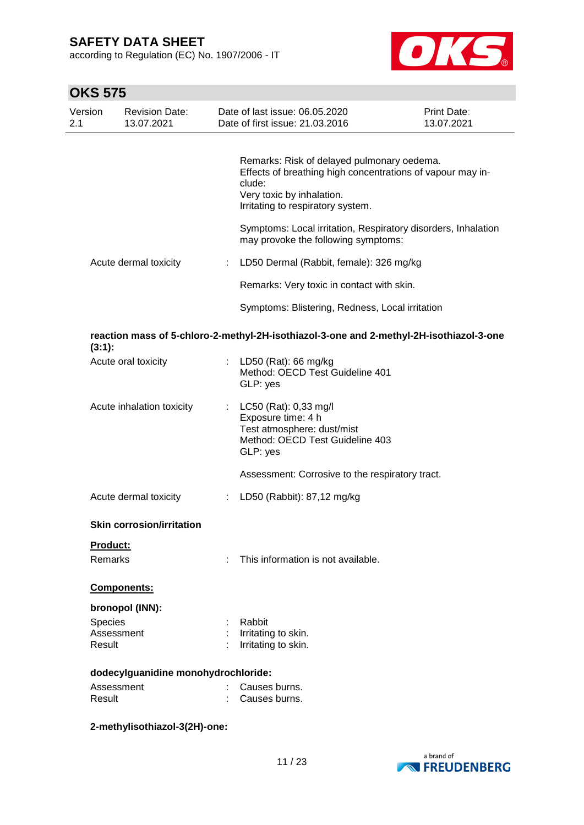according to Regulation (EC) No. 1907/2006 - IT



| <b>OKS 575</b> |                                     |   |                                                                                                                                                                                      |                           |
|----------------|-------------------------------------|---|--------------------------------------------------------------------------------------------------------------------------------------------------------------------------------------|---------------------------|
| Version<br>2.1 | <b>Revision Date:</b><br>13.07.2021 |   | Date of last issue: 06.05.2020<br>Date of first issue: 21.03.2016                                                                                                                    | Print Date:<br>13.07.2021 |
|                |                                     |   | Remarks: Risk of delayed pulmonary oedema.<br>Effects of breathing high concentrations of vapour may in-<br>clude:<br>Very toxic by inhalation.<br>Irritating to respiratory system. |                           |
|                |                                     |   | Symptoms: Local irritation, Respiratory disorders, Inhalation<br>may provoke the following symptoms:                                                                                 |                           |
|                | Acute dermal toxicity               |   | LD50 Dermal (Rabbit, female): 326 mg/kg                                                                                                                                              |                           |
|                |                                     |   | Remarks: Very toxic in contact with skin.                                                                                                                                            |                           |
|                |                                     |   | Symptoms: Blistering, Redness, Local irritation                                                                                                                                      |                           |
| $(3:1)$ :      |                                     |   | reaction mass of 5-chloro-2-methyl-2H-isothiazol-3-one and 2-methyl-2H-isothiazol-3-one                                                                                              |                           |
|                | Acute oral toxicity                 |   | LD50 (Rat): 66 mg/kg<br>Method: OECD Test Guideline 401<br>GLP: yes                                                                                                                  |                           |
|                | Acute inhalation toxicity           |   | LC50 (Rat): 0,33 mg/l<br>Exposure time: 4 h<br>Test atmosphere: dust/mist<br>Method: OECD Test Guideline 403<br>GLP: yes                                                             |                           |
|                |                                     |   | Assessment: Corrosive to the respiratory tract.                                                                                                                                      |                           |
|                | Acute dermal toxicity               | ÷ | LD50 (Rabbit): 87,12 mg/kg                                                                                                                                                           |                           |
|                | <b>Skin corrosion/irritation</b>    |   |                                                                                                                                                                                      |                           |
|                | <b>Product:</b><br>Remarks          | ÷ | This information is not available.                                                                                                                                                   |                           |
|                | Components:                         |   |                                                                                                                                                                                      |                           |
|                | bronopol (INN):                     |   |                                                                                                                                                                                      |                           |
|                | Species                             |   | Rabbit                                                                                                                                                                               |                           |
|                | Assessment                          |   | Irritating to skin.                                                                                                                                                                  |                           |
|                | Result                              |   | Irritating to skin.                                                                                                                                                                  |                           |
|                | dodecylguanidine monohydrochloride: |   |                                                                                                                                                                                      |                           |
|                | Assessment                          |   | Causes burns.                                                                                                                                                                        |                           |
|                | Result                              |   | Causes burns.                                                                                                                                                                        |                           |

### **2-methylisothiazol-3(2H)-one:**

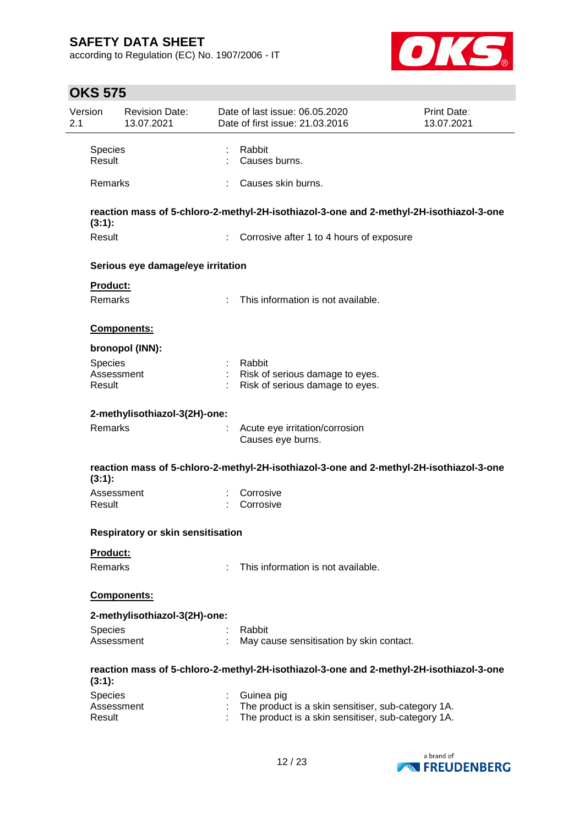according to Regulation (EC) No. 1907/2006 - IT



| Version<br>2.1 |                      | <b>Revision Date:</b><br>13.07.2021 | Date of last issue: 06.05.2020<br>Date of first issue: 21.03.2016                                        | Print Date:<br>13.07.2021 |
|----------------|----------------------|-------------------------------------|----------------------------------------------------------------------------------------------------------|---------------------------|
|                | Species<br>Result    |                                     | Rabbit<br>Causes burns.                                                                                  |                           |
|                | Remarks              |                                     | Causes skin burns.                                                                                       |                           |
|                |                      |                                     | reaction mass of 5-chloro-2-methyl-2H-isothiazol-3-one and 2-methyl-2H-isothiazol-3-one                  |                           |
|                | $(3:1)$ :<br>Result  |                                     | : Corrosive after 1 to 4 hours of exposure                                                               |                           |
|                |                      | Serious eye damage/eye irritation   |                                                                                                          |                           |
|                | Product:             |                                     |                                                                                                          |                           |
|                | Remarks              |                                     | This information is not available.                                                                       |                           |
|                |                      | Components:                         |                                                                                                          |                           |
|                |                      | bronopol (INN):                     |                                                                                                          |                           |
|                | Species              |                                     | Rabbit                                                                                                   |                           |
|                | Assessment<br>Result |                                     | Risk of serious damage to eyes.<br>Risk of serious damage to eyes.                                       |                           |
|                |                      | 2-methylisothiazol-3(2H)-one:       |                                                                                                          |                           |
|                | Remarks              |                                     | Acute eye irritation/corrosion<br>Causes eye burns.                                                      |                           |
|                | (3:1):               |                                     | reaction mass of 5-chloro-2-methyl-2H-isothiazol-3-one and 2-methyl-2H-isothiazol-3-one                  |                           |
|                | Assessment<br>Result |                                     | Corrosive<br>Corrosive                                                                                   |                           |
|                |                      | Respiratory or skin sensitisation   |                                                                                                          |                           |
|                | <b>Product:</b>      |                                     |                                                                                                          |                           |
|                | <b>Remarks</b>       |                                     | This information is not available.                                                                       |                           |
|                |                      | <b>Components:</b>                  |                                                                                                          |                           |
|                |                      | 2-methylisothiazol-3(2H)-one:       |                                                                                                          |                           |
|                | Species              |                                     | Rabbit                                                                                                   |                           |
|                | Assessment           |                                     | May cause sensitisation by skin contact.                                                                 |                           |
|                | (3:1):               |                                     | reaction mass of 5-chloro-2-methyl-2H-isothiazol-3-one and 2-methyl-2H-isothiazol-3-one                  |                           |
|                | Species              |                                     | Guinea pig                                                                                               |                           |
|                | Assessment<br>Result |                                     | The product is a skin sensitiser, sub-category 1A.<br>The product is a skin sensitiser, sub-category 1A. |                           |
|                |                      |                                     |                                                                                                          |                           |

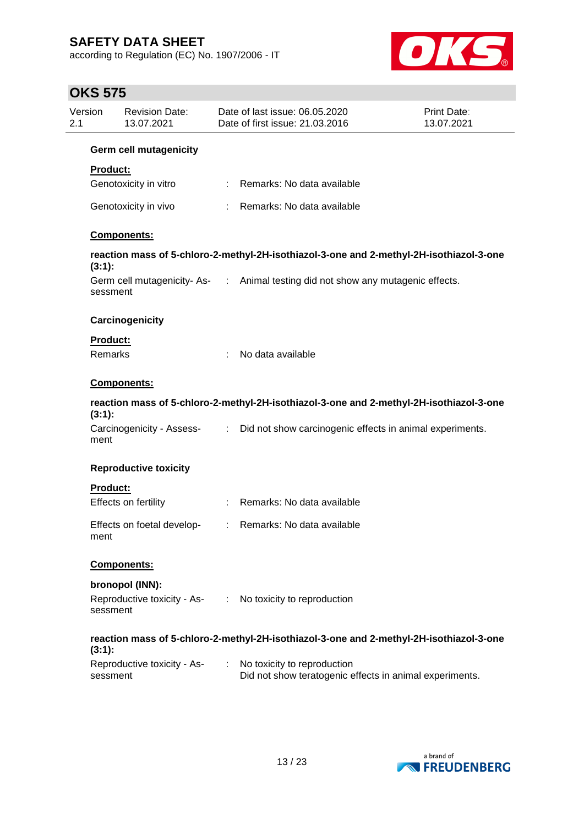according to Regulation (EC) No. 1907/2006 - IT



| Version<br>2.1 |                 | <b>Revision Date:</b><br>13.07.2021 |    | Date of last issue: 06.05.2020<br>Date of first issue: 21.03.2016                       | <b>Print Date:</b><br>13.07.2021 |
|----------------|-----------------|-------------------------------------|----|-----------------------------------------------------------------------------------------|----------------------------------|
|                |                 | <b>Germ cell mutagenicity</b>       |    |                                                                                         |                                  |
|                | <b>Product:</b> |                                     |    |                                                                                         |                                  |
|                |                 | Genotoxicity in vitro               |    | : Remarks: No data available                                                            |                                  |
|                |                 | Genotoxicity in vivo                |    | Remarks: No data available                                                              |                                  |
|                |                 | Components:                         |    |                                                                                         |                                  |
|                | (3:1):          |                                     |    | reaction mass of 5-chloro-2-methyl-2H-isothiazol-3-one and 2-methyl-2H-isothiazol-3-one |                                  |
|                | sessment        |                                     |    | Germ cell mutagenicity-As- : Animal testing did not show any mutagenic effects.         |                                  |
|                |                 | Carcinogenicity                     |    |                                                                                         |                                  |
|                | Product:        |                                     |    |                                                                                         |                                  |
|                | Remarks         |                                     | ÷  | No data available                                                                       |                                  |
|                |                 | <b>Components:</b>                  |    |                                                                                         |                                  |
|                | (3:1):          |                                     |    | reaction mass of 5-chloro-2-methyl-2H-isothiazol-3-one and 2-methyl-2H-isothiazol-3-one |                                  |
|                | ment            |                                     |    | Carcinogenicity - Assess- : Did not show carcinogenic effects in animal experiments.    |                                  |
|                |                 | <b>Reproductive toxicity</b>        |    |                                                                                         |                                  |
|                | <b>Product:</b> |                                     |    |                                                                                         |                                  |
|                |                 | Effects on fertility                |    | : Remarks: No data available                                                            |                                  |
|                | ment            | Effects on foetal develop-          |    | : Remarks: No data available                                                            |                                  |
|                |                 | Components:                         |    |                                                                                         |                                  |
|                |                 | bronopol (INN):                     |    |                                                                                         |                                  |
|                | sessment        |                                     |    | Reproductive toxicity - As- : No toxicity to reproduction                               |                                  |
|                | $(3:1)$ :       |                                     |    | reaction mass of 5-chloro-2-methyl-2H-isothiazol-3-one and 2-methyl-2H-isothiazol-3-one |                                  |
|                | sessment        | Reproductive toxicity - As-         | ÷. | No toxicity to reproduction<br>Did not show teratogenic effects in animal experiments.  |                                  |

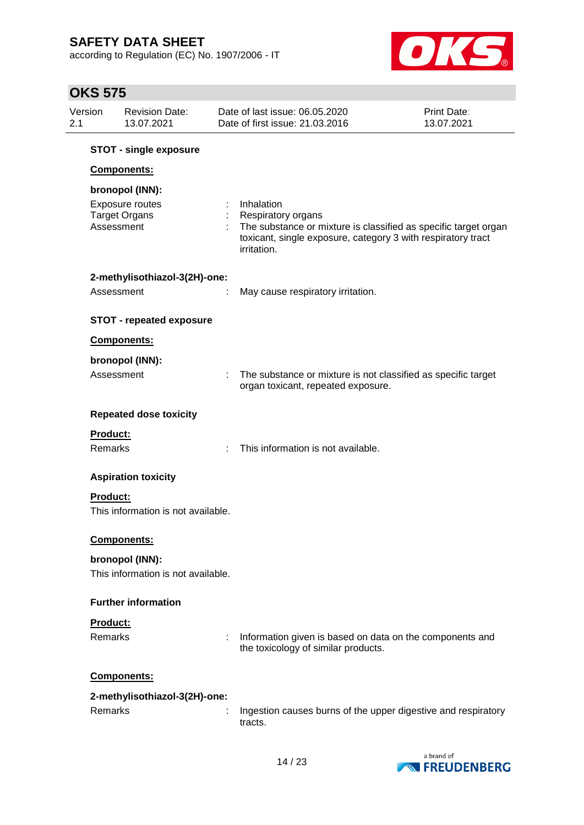according to Regulation (EC) No. 1907/2006 - IT



| Version<br>2.1 |                 | <b>Revision Date:</b><br>13.07.2021                        |    | Date of last issue: 06.05.2020<br>Date of first issue: 21.03.2016                                                                                                                         | Print Date:<br>13.07.2021 |
|----------------|-----------------|------------------------------------------------------------|----|-------------------------------------------------------------------------------------------------------------------------------------------------------------------------------------------|---------------------------|
|                |                 | <b>STOT - single exposure</b>                              |    |                                                                                                                                                                                           |                           |
|                |                 | Components:                                                |    |                                                                                                                                                                                           |                           |
|                | Assessment      | bronopol (INN):<br>Exposure routes<br><b>Target Organs</b> |    | Inhalation<br><b>Respiratory organs</b><br>The substance or mixture is classified as specific target organ<br>toxicant, single exposure, category 3 with respiratory tract<br>irritation. |                           |
|                |                 | 2-methylisothiazol-3(2H)-one:                              |    |                                                                                                                                                                                           |                           |
|                | Assessment      |                                                            |    | May cause respiratory irritation.                                                                                                                                                         |                           |
|                |                 |                                                            |    |                                                                                                                                                                                           |                           |
|                |                 | <b>STOT - repeated exposure</b>                            |    |                                                                                                                                                                                           |                           |
|                |                 | Components:                                                |    |                                                                                                                                                                                           |                           |
|                |                 | bronopol (INN):                                            |    |                                                                                                                                                                                           |                           |
|                | Assessment      |                                                            | t. | The substance or mixture is not classified as specific target<br>organ toxicant, repeated exposure.                                                                                       |                           |
|                |                 | <b>Repeated dose toxicity</b>                              |    |                                                                                                                                                                                           |                           |
|                | <b>Product:</b> |                                                            |    |                                                                                                                                                                                           |                           |
|                | Remarks         |                                                            | ÷  | This information is not available.                                                                                                                                                        |                           |
|                |                 | <b>Aspiration toxicity</b>                                 |    |                                                                                                                                                                                           |                           |
|                | <b>Product:</b> |                                                            |    |                                                                                                                                                                                           |                           |
|                |                 | This information is not available.                         |    |                                                                                                                                                                                           |                           |
|                |                 | Components:                                                |    |                                                                                                                                                                                           |                           |
|                |                 | bronopol (INN):                                            |    |                                                                                                                                                                                           |                           |
|                |                 | This information is not available.                         |    |                                                                                                                                                                                           |                           |
|                |                 | <b>Further information</b>                                 |    |                                                                                                                                                                                           |                           |
|                | <b>Product:</b> |                                                            |    |                                                                                                                                                                                           |                           |
|                | Remarks         |                                                            |    | Information given is based on data on the components and<br>the toxicology of similar products.                                                                                           |                           |
|                |                 | Components:                                                |    |                                                                                                                                                                                           |                           |
|                |                 | 2-methylisothiazol-3(2H)-one:                              |    |                                                                                                                                                                                           |                           |
|                | Remarks         |                                                            |    | Ingestion causes burns of the upper digestive and respiratory<br>tracts.                                                                                                                  |                           |

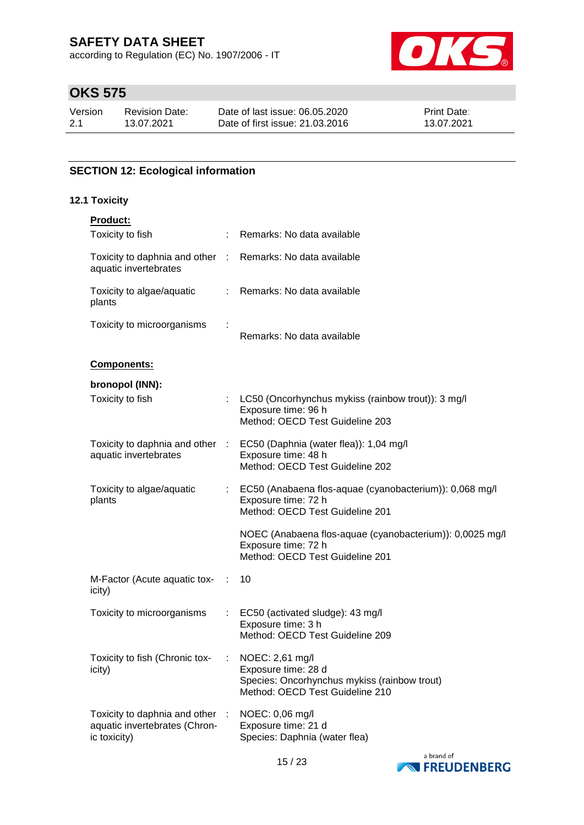according to Regulation (EC) No. 1907/2006 - IT



# **OKS 575**

| Version | <b>Revision Date:</b> | Date of last issue: 06.05.2020  | <b>Print Date:</b> |
|---------|-----------------------|---------------------------------|--------------------|
| 2.1     | 13.07.2021            | Date of first issue: 21,03,2016 | 13.07.2021         |

### **SECTION 12: Ecological information**

### **12.1 Toxicity**

| <b>Product:</b>                                                                |    |                                                                                                                           |
|--------------------------------------------------------------------------------|----|---------------------------------------------------------------------------------------------------------------------------|
| Toxicity to fish                                                               |    | Remarks: No data available                                                                                                |
| Toxicity to daphnia and other :<br>aquatic invertebrates                       |    | Remarks: No data available                                                                                                |
| Toxicity to algae/aquatic<br>plants                                            | ÷. | Remarks: No data available                                                                                                |
| Toxicity to microorganisms                                                     |    | Remarks: No data available                                                                                                |
| Components:                                                                    |    |                                                                                                                           |
| bronopol (INN):                                                                |    |                                                                                                                           |
| Toxicity to fish                                                               | ÷  | LC50 (Oncorhynchus mykiss (rainbow trout)): 3 mg/l<br>Exposure time: 96 h<br>Method: OECD Test Guideline 203              |
| Toxicity to daphnia and other :<br>aquatic invertebrates                       |    | EC50 (Daphnia (water flea)): 1,04 mg/l<br>Exposure time: 48 h<br>Method: OECD Test Guideline 202                          |
| Toxicity to algae/aquatic<br>plants                                            |    | EC50 (Anabaena flos-aquae (cyanobacterium)): 0,068 mg/l<br>Exposure time: 72 h<br>Method: OECD Test Guideline 201         |
|                                                                                |    | NOEC (Anabaena flos-aquae (cyanobacterium)): 0,0025 mg/l<br>Exposure time: 72 h<br>Method: OECD Test Guideline 201        |
| M-Factor (Acute aquatic tox-<br>icity)                                         |    | 10                                                                                                                        |
| Toxicity to microorganisms                                                     |    | EC50 (activated sludge): 43 mg/l<br>Exposure time: 3 h<br>Method: OECD Test Guideline 209                                 |
| Toxicity to fish (Chronic tox-<br>icity)                                       |    | NOEC: 2,61 mg/l<br>Exposure time: 28 d<br>Species: Oncorhynchus mykiss (rainbow trout)<br>Method: OECD Test Guideline 210 |
| Toxicity to daphnia and other<br>aquatic invertebrates (Chron-<br>ic toxicity) |    | NOEC: 0,06 mg/l<br>Exposure time: 21 d<br>Species: Daphnia (water flea)                                                   |

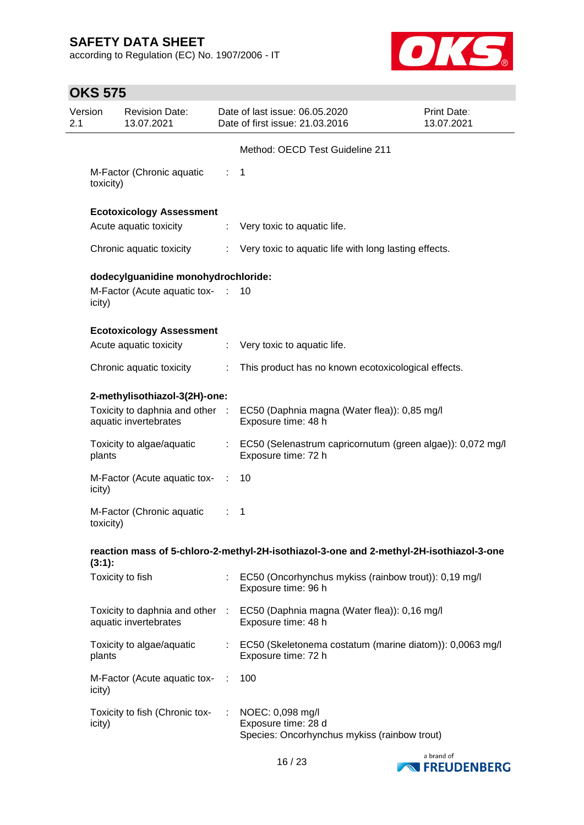according to Regulation (EC) No. 1907/2006 - IT



| Version<br>2.1 |           | <b>Revision Date:</b><br>13.07.2021                      |                | Date of last issue: 06.05.2020<br>Date of first issue: 21.03.2016                                   | Print Date:<br>13.07.2021 |
|----------------|-----------|----------------------------------------------------------|----------------|-----------------------------------------------------------------------------------------------------|---------------------------|
|                |           |                                                          |                | Method: OECD Test Guideline 211                                                                     |                           |
|                | toxicity) | M-Factor (Chronic aquatic                                | ÷.             | 1                                                                                                   |                           |
|                |           | <b>Ecotoxicology Assessment</b>                          |                |                                                                                                     |                           |
|                |           | Acute aquatic toxicity                                   | ÷              | Very toxic to aquatic life.                                                                         |                           |
|                |           | Chronic aquatic toxicity                                 |                | Very toxic to aquatic life with long lasting effects.                                               |                           |
|                |           | dodecylguanidine monohydrochloride:                      |                |                                                                                                     |                           |
|                | icity)    | M-Factor (Acute aquatic tox-                             | <b>STAR</b>    | 10                                                                                                  |                           |
|                |           | <b>Ecotoxicology Assessment</b>                          |                |                                                                                                     |                           |
|                |           | Acute aquatic toxicity                                   | $\mathbb{Z}^n$ | Very toxic to aquatic life.                                                                         |                           |
|                |           | Chronic aquatic toxicity                                 | ÷              | This product has no known ecotoxicological effects.                                                 |                           |
|                |           | 2-methylisothiazol-3(2H)-one:                            |                |                                                                                                     |                           |
|                |           | aquatic invertebrates                                    |                | Toxicity to daphnia and other : EC50 (Daphnia magna (Water flea)): 0,85 mg/l<br>Exposure time: 48 h |                           |
|                | plants    | Toxicity to algae/aquatic                                |                | : EC50 (Selenastrum capricornutum (green algae)): 0,072 mg/l<br>Exposure time: 72 h                 |                           |
|                | icity)    | M-Factor (Acute aquatic tox-                             |                | 10                                                                                                  |                           |
|                | toxicity) | M-Factor (Chronic aquatic                                |                | 1                                                                                                   |                           |
|                | (3:1):    |                                                          |                | reaction mass of 5-chloro-2-methyl-2H-isothiazol-3-one and 2-methyl-2H-isothiazol-3-one             |                           |
|                |           | Toxicity to fish                                         |                | EC50 (Oncorhynchus mykiss (rainbow trout)): 0,19 mg/l<br>Exposure time: 96 h                        |                           |
|                |           | Toxicity to daphnia and other :<br>aquatic invertebrates |                | EC50 (Daphnia magna (Water flea)): 0,16 mg/l<br>Exposure time: 48 h                                 |                           |
|                | plants    | Toxicity to algae/aquatic                                | ÷              | EC50 (Skeletonema costatum (marine diatom)): 0,0063 mg/l<br>Exposure time: 72 h                     |                           |
|                | icity)    | M-Factor (Acute aquatic tox-                             |                | 100                                                                                                 |                           |
|                | icity)    | Toxicity to fish (Chronic tox-                           |                | NOEC: 0,098 mg/l<br>Exposure time: 28 d<br>Species: Oncorhynchus mykiss (rainbow trout)             |                           |

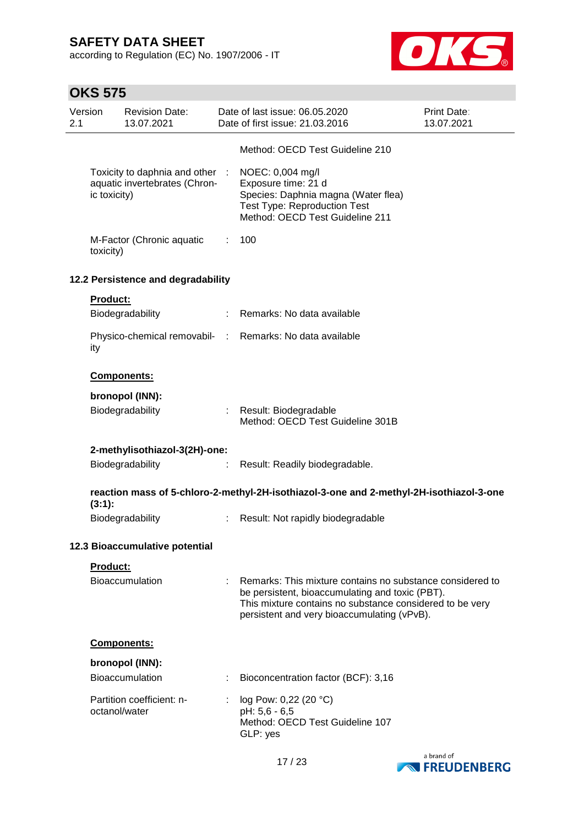according to Regulation (EC) No. 1907/2006 - IT



|                | <b>OKS 575</b> |                                                                |    |                                                                                                                                                                                                                         |                           |
|----------------|----------------|----------------------------------------------------------------|----|-------------------------------------------------------------------------------------------------------------------------------------------------------------------------------------------------------------------------|---------------------------|
| Version<br>2.1 |                | <b>Revision Date:</b><br>13.07.2021                            |    | Date of last issue: 06.05.2020<br>Date of first issue: 21.03.2016                                                                                                                                                       | Print Date:<br>13.07.2021 |
|                |                |                                                                |    | Method: OECD Test Guideline 210                                                                                                                                                                                         |                           |
|                | ic toxicity)   | Toxicity to daphnia and other<br>aquatic invertebrates (Chron- |    | NOEC: 0,004 mg/l<br>Exposure time: 21 d<br>Species: Daphnia magna (Water flea)<br><b>Test Type: Reproduction Test</b><br>Method: OECD Test Guideline 211                                                                |                           |
|                | toxicity)      | M-Factor (Chronic aquatic                                      | ÷. | 100                                                                                                                                                                                                                     |                           |
|                |                | 12.2 Persistence and degradability                             |    |                                                                                                                                                                                                                         |                           |
|                | Product:       |                                                                |    |                                                                                                                                                                                                                         |                           |
|                |                | Biodegradability                                               |    | : Remarks: No data available                                                                                                                                                                                            |                           |
|                | ity            |                                                                |    | Physico-chemical removabil- : Remarks: No data available                                                                                                                                                                |                           |
|                |                | Components:                                                    |    |                                                                                                                                                                                                                         |                           |
|                |                | bronopol (INN):                                                |    |                                                                                                                                                                                                                         |                           |
|                |                | Biodegradability                                               |    | Result: Biodegradable<br>Method: OECD Test Guideline 301B                                                                                                                                                               |                           |
|                |                | 2-methylisothiazol-3(2H)-one:                                  |    |                                                                                                                                                                                                                         |                           |
|                |                | Biodegradability                                               |    | Result: Readily biodegradable.                                                                                                                                                                                          |                           |
|                | (3:1):         |                                                                |    | reaction mass of 5-chloro-2-methyl-2H-isothiazol-3-one and 2-methyl-2H-isothiazol-3-one                                                                                                                                 |                           |
|                |                | Biodegradability                                               |    | Result: Not rapidly biodegradable                                                                                                                                                                                       |                           |
|                |                | 12.3 Bioaccumulative potential                                 |    |                                                                                                                                                                                                                         |                           |
|                | Product:       |                                                                |    |                                                                                                                                                                                                                         |                           |
|                |                | Bioaccumulation                                                |    | Remarks: This mixture contains no substance considered to<br>be persistent, bioaccumulating and toxic (PBT).<br>This mixture contains no substance considered to be very<br>persistent and very bioaccumulating (vPvB). |                           |
|                |                | <b>Components:</b>                                             |    |                                                                                                                                                                                                                         |                           |
|                |                | bronopol (INN):                                                |    |                                                                                                                                                                                                                         |                           |
|                |                | <b>Bioaccumulation</b>                                         |    | Bioconcentration factor (BCF): 3,16                                                                                                                                                                                     |                           |
|                | octanol/water  | Partition coefficient: n-                                      |    | log Pow: 0,22 (20 °C)<br>pH: 5,6 - 6,5<br>Method: OECD Test Guideline 107<br>GLP: yes                                                                                                                                   |                           |

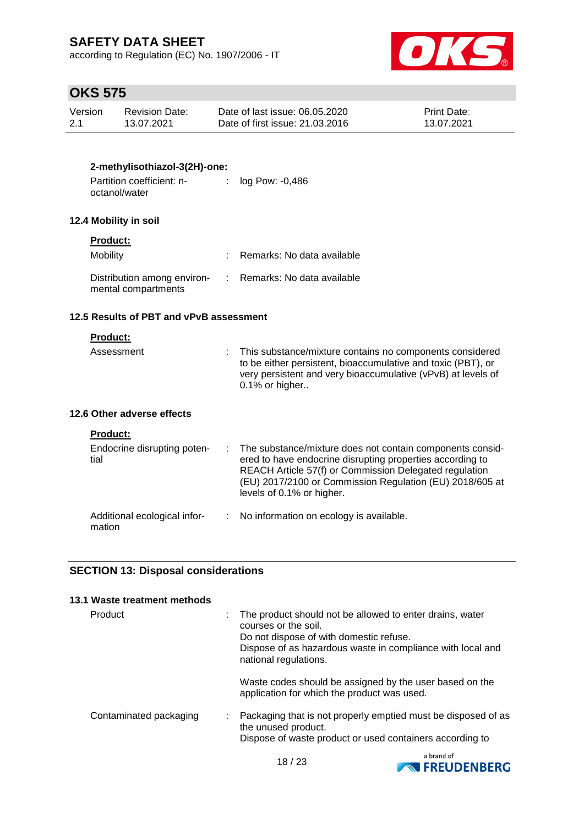according to Regulation (EC) No. 1907/2006 - IT



# **OKS 575**

| Version | Revision Date: | Date of last issue: 06.05.2020  | <b>Print Date:</b> |
|---------|----------------|---------------------------------|--------------------|
| 2.1     | 13.07.2021     | Date of first issue: 21,03,2016 | 13.07.2021         |

### **2-methylisothiazol-3(2H)-one:**

| Partition coefficient: n- | log Pow: -0,486 |
|---------------------------|-----------------|
| octanol/water             |                 |

### **12.4 Mobility in soil**

### **Product:**

| Mobility                                           | Remarks: No data available   |
|----------------------------------------------------|------------------------------|
| Distribution among environ-<br>mental compartments | : Remarks: No data available |

#### **12.5 Results of PBT and vPvB assessment**

#### **Product:**

| Assessment | : This substance/mixture contains no components considered   |
|------------|--------------------------------------------------------------|
|            | to be either persistent, bioaccumulative and toxic (PBT), or |
|            | very persistent and very bioaccumulative (vPvB) at levels of |
|            | $0.1\%$ or higher                                            |

### **12.6 Other adverse effects**

| <b>Product:</b>                        |                                                                                                                                                                                                                                                                             |
|----------------------------------------|-----------------------------------------------------------------------------------------------------------------------------------------------------------------------------------------------------------------------------------------------------------------------------|
| Endocrine disrupting poten-<br>tial    | : The substance/mixture does not contain components consid-<br>ered to have endocrine disrupting properties according to<br>REACH Article 57(f) or Commission Delegated regulation<br>(EU) 2017/2100 or Commission Regulation (EU) 2018/605 at<br>levels of 0.1% or higher. |
| Additional ecological infor-<br>mation | : No information on ecology is available.                                                                                                                                                                                                                                   |

### **SECTION 13: Disposal considerations**

| 13.1 Waste treatment methods |                                                                                                                                                                                                                    |
|------------------------------|--------------------------------------------------------------------------------------------------------------------------------------------------------------------------------------------------------------------|
| Product                      | The product should not be allowed to enter drains, water<br>courses or the soil.<br>Do not dispose of with domestic refuse.<br>Dispose of as hazardous waste in compliance with local and<br>national regulations. |
|                              | Waste codes should be assigned by the user based on the<br>application for which the product was used.                                                                                                             |
| Contaminated packaging       | Packaging that is not properly emptied must be disposed of as<br>the unused product.<br>Dispose of waste product or used containers according to                                                                   |
|                              |                                                                                                                                                                                                                    |

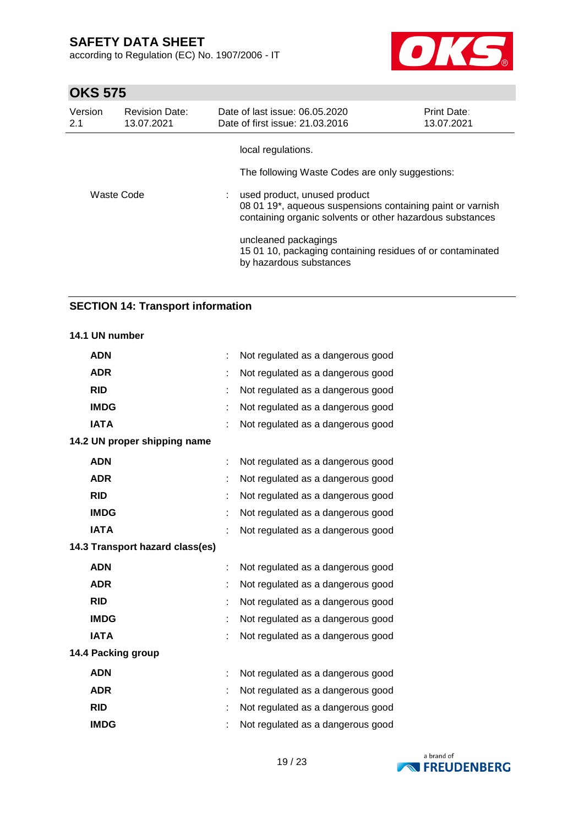according to Regulation (EC) No. 1907/2006 - IT



# **OKS 575**

| Version<br>2.1 | <b>Revision Date:</b><br>13.07.2021 | Date of last issue: 06.05.2020<br>Date of first issue: 21.03.2016                                             | Print Date:<br>13.07.2021                                                                                               |
|----------------|-------------------------------------|---------------------------------------------------------------------------------------------------------------|-------------------------------------------------------------------------------------------------------------------------|
| Waste Code     |                                     | local regulations.<br>The following Waste Codes are only suggestions:                                         |                                                                                                                         |
|                |                                     | used product, unused product                                                                                  | 08 01 19*, aqueous suspensions containing paint or varnish<br>containing organic solvents or other hazardous substances |
|                |                                     | uncleaned packagings<br>15 01 10, packaging containing residues of or contaminated<br>by hazardous substances |                                                                                                                         |

### **SECTION 14: Transport information**

### **14.1 UN number**

| <b>ADN</b>                      | Not regulated as a dangerous good |
|---------------------------------|-----------------------------------|
| <b>ADR</b>                      | Not regulated as a dangerous good |
| <b>RID</b>                      | Not regulated as a dangerous good |
| <b>IMDG</b>                     | Not regulated as a dangerous good |
| <b>IATA</b>                     | Not regulated as a dangerous good |
| 14.2 UN proper shipping name    |                                   |
| <b>ADN</b>                      | Not regulated as a dangerous good |
| <b>ADR</b>                      | Not regulated as a dangerous good |
| <b>RID</b>                      | Not regulated as a dangerous good |
| <b>IMDG</b>                     | Not regulated as a dangerous good |
| <b>IATA</b>                     | Not regulated as a dangerous good |
| 14.3 Transport hazard class(es) |                                   |
| <b>ADN</b>                      | Not regulated as a dangerous good |
| <b>ADR</b>                      | Not regulated as a dangerous good |
| <b>RID</b>                      | Not regulated as a dangerous good |
| <b>IMDG</b>                     | Not regulated as a dangerous good |
| <b>IATA</b>                     | Not regulated as a dangerous good |
| 14.4 Packing group              |                                   |
| <b>ADN</b>                      | Not regulated as a dangerous good |
| <b>ADR</b>                      | Not regulated as a dangerous good |
| <b>RID</b>                      | Not regulated as a dangerous good |
| <b>IMDG</b>                     | Not regulated as a dangerous good |

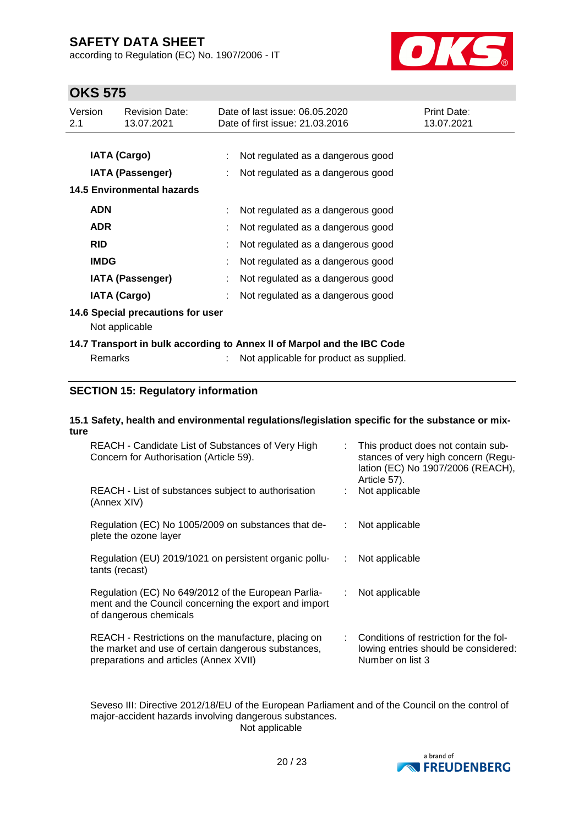according to Regulation (EC) No. 1907/2006 - IT



# **OKS 575**

| Version<br>2.1 |                     | <b>Revision Date:</b><br>13.07.2021                 | Date of last issue: 06.05.2020<br>Date of first issue: 21.03.2016       | Print Date:<br>13.07.2021 |
|----------------|---------------------|-----------------------------------------------------|-------------------------------------------------------------------------|---------------------------|
|                |                     |                                                     |                                                                         |                           |
|                | <b>IATA (Cargo)</b> |                                                     | Not regulated as a dangerous good                                       |                           |
|                |                     | IATA (Passenger)                                    | Not regulated as a dangerous good                                       |                           |
|                |                     | <b>14.5 Environmental hazards</b>                   |                                                                         |                           |
|                | <b>ADN</b>          |                                                     | Not regulated as a dangerous good                                       |                           |
|                | <b>ADR</b>          |                                                     | Not regulated as a dangerous good                                       |                           |
|                | <b>RID</b>          |                                                     | Not regulated as a dangerous good                                       |                           |
|                | <b>IMDG</b>         |                                                     | Not regulated as a dangerous good                                       |                           |
|                |                     | <b>IATA (Passenger)</b>                             | Not regulated as a dangerous good                                       |                           |
|                | <b>IATA (Cargo)</b> |                                                     | Not regulated as a dangerous good                                       |                           |
|                |                     | 14.6 Special precautions for user<br>Not applicable |                                                                         |                           |
|                |                     |                                                     | 14.7 Transport in bulk according to Annex II of Marpol and the IBC Code |                           |
|                | <b>Remarks</b>      |                                                     | Not applicable for product as supplied.                                 |                           |
|                |                     |                                                     |                                                                         |                           |

### **SECTION 15: Regulatory information**

#### **15.1 Safety, health and environmental regulations/legislation specific for the substance or mixture**

| REACH - Candidate List of Substances of Very High<br>Concern for Authorisation (Article 59).                                                         |    | : This product does not contain sub-<br>stances of very high concern (Regu-<br>lation (EC) No 1907/2006 (REACH),<br>Article 57). |
|------------------------------------------------------------------------------------------------------------------------------------------------------|----|----------------------------------------------------------------------------------------------------------------------------------|
| REACH - List of substances subject to authorisation<br>(Annex XIV)                                                                                   |    | Not applicable                                                                                                                   |
| Regulation (EC) No 1005/2009 on substances that de-<br>plete the ozone layer                                                                         | ÷. | Not applicable                                                                                                                   |
| Regulation (EU) 2019/1021 on persistent organic pollu-<br>tants (recast)                                                                             | ÷. | Not applicable                                                                                                                   |
| Regulation (EC) No 649/2012 of the European Parlia-<br>ment and the Council concerning the export and import<br>of dangerous chemicals               |    | : Not applicable                                                                                                                 |
| REACH - Restrictions on the manufacture, placing on<br>the market and use of certain dangerous substances,<br>preparations and articles (Annex XVII) |    | : Conditions of restriction for the fol-<br>lowing entries should be considered:<br>Number on list 3                             |

Seveso III: Directive 2012/18/EU of the European Parliament and of the Council on the control of major-accident hazards involving dangerous substances. Not applicable

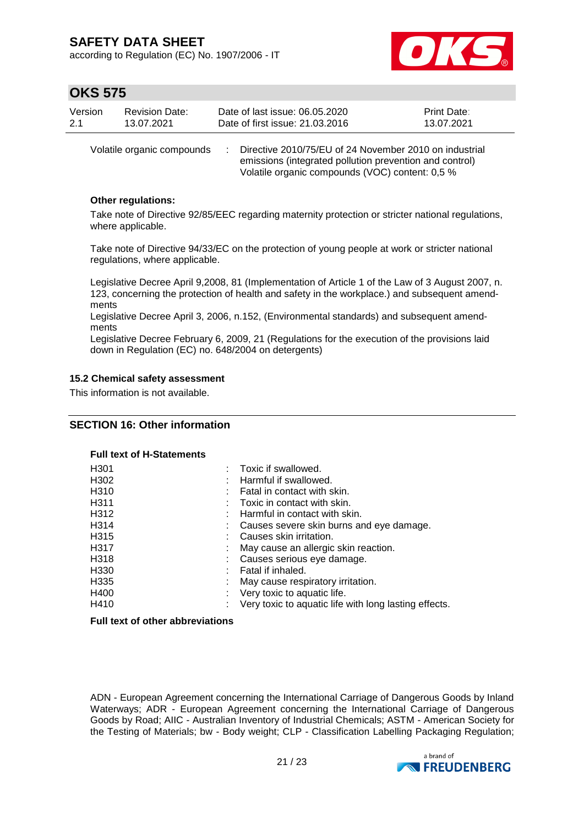according to Regulation (EC) No. 1907/2006 - IT



### **OKS 575**

| Version | <b>Revision Date:</b> | Date of last issue: 06.05.2020  | <b>Print Date:</b> |
|---------|-----------------------|---------------------------------|--------------------|
| 2.1     | 13.07.2021            | Date of first issue: 21.03.2016 | 13.07.2021         |
|         |                       |                                 |                    |

Volatile organic compounds : Directive 2010/75/EU of 24 November 2010 on industrial emissions (integrated pollution prevention and control) Volatile organic compounds (VOC) content: 0,5 %

### **Other regulations:**

Take note of Directive 92/85/EEC regarding maternity protection or stricter national regulations, where applicable.

Take note of Directive 94/33/EC on the protection of young people at work or stricter national regulations, where applicable.

Legislative Decree April 9,2008, 81 (Implementation of Article 1 of the Law of 3 August 2007, n. 123, concerning the protection of health and safety in the workplace.) and subsequent amendments

Legislative Decree April 3, 2006, n.152, (Environmental standards) and subsequent amendments

Legislative Decree February 6, 2009, 21 (Regulations for the execution of the provisions laid down in Regulation (EC) no. 648/2004 on detergents)

#### **15.2 Chemical safety assessment**

This information is not available.

### **SECTION 16: Other information**

#### **Full text of H-Statements**

| H <sub>301</sub>  | Toxic if swallowed.                                   |
|-------------------|-------------------------------------------------------|
| H302              | Harmful if swallowed.                                 |
| H <sub>310</sub>  | Fatal in contact with skin.                           |
| H <sub>3</sub> 11 | Toxic in contact with skin.                           |
| H312              | Harmful in contact with skin.                         |
| H314              | Causes severe skin burns and eye damage.              |
| H <sub>315</sub>  | Causes skin irritation.                               |
| H317              | May cause an allergic skin reaction.                  |
| H318              | Causes serious eye damage.                            |
| H330              | Fatal if inhaled.                                     |
| H <sub>335</sub>  | May cause respiratory irritation.                     |
| H400              | Very toxic to aquatic life.                           |
| H410              | Very toxic to aquatic life with long lasting effects. |

#### **Full text of other abbreviations**

ADN - European Agreement concerning the International Carriage of Dangerous Goods by Inland Waterways; ADR - European Agreement concerning the International Carriage of Dangerous Goods by Road; AIIC - Australian Inventory of Industrial Chemicals; ASTM - American Society for the Testing of Materials; bw - Body weight; CLP - Classification Labelling Packaging Regulation;

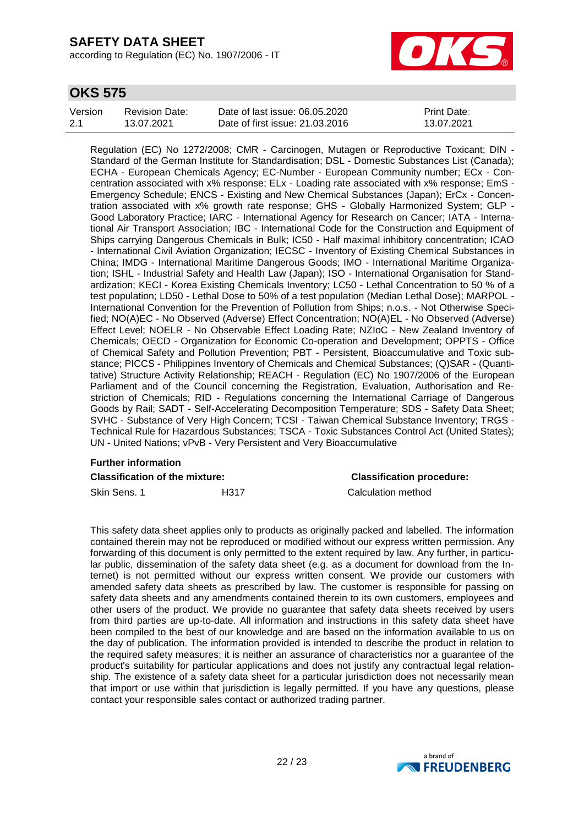according to Regulation (EC) No. 1907/2006 - IT



### **OKS 575**

| Version | <b>Revision Date:</b> | Date of last issue: 06.05.2020  | <b>Print Date:</b> |
|---------|-----------------------|---------------------------------|--------------------|
| 2.1     | 13.07.2021            | Date of first issue: 21.03.2016 | 13.07.2021         |

Regulation (EC) No 1272/2008; CMR - Carcinogen, Mutagen or Reproductive Toxicant; DIN - Standard of the German Institute for Standardisation; DSL - Domestic Substances List (Canada); ECHA - European Chemicals Agency; EC-Number - European Community number; ECx - Concentration associated with x% response; ELx - Loading rate associated with x% response; EmS - Emergency Schedule; ENCS - Existing and New Chemical Substances (Japan); ErCx - Concentration associated with x% growth rate response; GHS - Globally Harmonized System; GLP - Good Laboratory Practice; IARC - International Agency for Research on Cancer; IATA - International Air Transport Association; IBC - International Code for the Construction and Equipment of Ships carrying Dangerous Chemicals in Bulk; IC50 - Half maximal inhibitory concentration; ICAO - International Civil Aviation Organization; IECSC - Inventory of Existing Chemical Substances in China; IMDG - International Maritime Dangerous Goods; IMO - International Maritime Organization; ISHL - Industrial Safety and Health Law (Japan); ISO - International Organisation for Standardization; KECI - Korea Existing Chemicals Inventory; LC50 - Lethal Concentration to 50 % of a test population; LD50 - Lethal Dose to 50% of a test population (Median Lethal Dose); MARPOL - International Convention for the Prevention of Pollution from Ships; n.o.s. - Not Otherwise Specified; NO(A)EC - No Observed (Adverse) Effect Concentration; NO(A)EL - No Observed (Adverse) Effect Level; NOELR - No Observable Effect Loading Rate; NZIoC - New Zealand Inventory of Chemicals; OECD - Organization for Economic Co-operation and Development; OPPTS - Office of Chemical Safety and Pollution Prevention; PBT - Persistent, Bioaccumulative and Toxic substance; PICCS - Philippines Inventory of Chemicals and Chemical Substances; (Q)SAR - (Quantitative) Structure Activity Relationship; REACH - Regulation (EC) No 1907/2006 of the European Parliament and of the Council concerning the Registration, Evaluation, Authorisation and Restriction of Chemicals; RID - Regulations concerning the International Carriage of Dangerous Goods by Rail; SADT - Self-Accelerating Decomposition Temperature; SDS - Safety Data Sheet; SVHC - Substance of Very High Concern; TCSI - Taiwan Chemical Substance Inventory; TRGS - Technical Rule for Hazardous Substances; TSCA - Toxic Substances Control Act (United States); UN - United Nations; vPvB - Very Persistent and Very Bioaccumulative

# **Further information**

**Classification of the mixture: Classification procedure:**

Skin Sens. 1 **H317** H317 Calculation method

This safety data sheet applies only to products as originally packed and labelled. The information contained therein may not be reproduced or modified without our express written permission. Any forwarding of this document is only permitted to the extent required by law. Any further, in particular public, dissemination of the safety data sheet (e.g. as a document for download from the Internet) is not permitted without our express written consent. We provide our customers with amended safety data sheets as prescribed by law. The customer is responsible for passing on safety data sheets and any amendments contained therein to its own customers, employees and other users of the product. We provide no guarantee that safety data sheets received by users from third parties are up-to-date. All information and instructions in this safety data sheet have been compiled to the best of our knowledge and are based on the information available to us on the day of publication. The information provided is intended to describe the product in relation to the required safety measures; it is neither an assurance of characteristics nor a guarantee of the product's suitability for particular applications and does not justify any contractual legal relationship. The existence of a safety data sheet for a particular jurisdiction does not necessarily mean that import or use within that jurisdiction is legally permitted. If you have any questions, please contact your responsible sales contact or authorized trading partner.